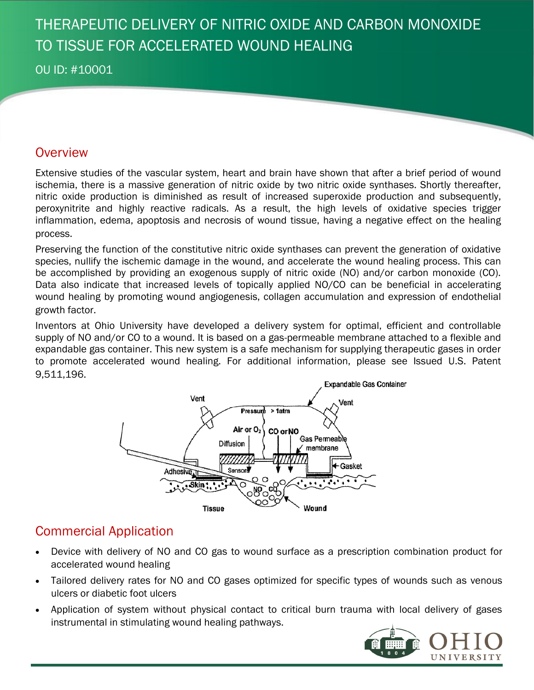# THERAPEUTIC DELIVERY OF NITRIC OXIDE AND CARBON MONOXIDE TO TISSUE FOR ACCELERATED WOUND HEALING

#### OU ID: #10001

#### **Overview**

Extensive studies of the vascular system, heart and brain have shown that after a brief period of wound ischemia, there is a massive generation of nitric oxide by two nitric oxide synthases. Shortly thereafter, nitric oxide production is diminished as result of increased superoxide production and subsequently, peroxynitrite and highly reactive radicals. As a result, the high levels of oxidative species trigger inflammation, edema, apoptosis and necrosis of wound tissue, having a negative effect on the healing process.

Preserving the function of the constitutive nitric oxide synthases can prevent the generation of oxidative species, nullify the ischemic damage in the wound, and accelerate the wound healing process. This can be accomplished by providing an exogenous supply of nitric oxide (NO) and/or carbon monoxide (CO). Data also indicate that increased levels of topically applied NO/CO can be beneficial in accelerating wound healing by promoting wound angiogenesis, collagen accumulation and expression of endothelial growth factor.

Inventors at Ohio University have developed a delivery system for optimal, efficient and controllable supply of NO and/or CO to a wound. It is based on a gas-permeable membrane attached to a flexible and expandable gas container. This new system is a safe mechanism for supplying therapeutic gases in order to promote accelerated wound healing. For additional information, please see Issued U.S. Patent 9,511,196.



## Commercial Application

- Device with delivery of NO and CO gas to wound surface as a prescription combination product for accelerated wound healing
- Tailored delivery rates for NO and CO gases optimized for specific types of wounds such as venous ulcers or diabetic foot ulcers
- Application of system without physical contact to critical burn trauma with local delivery of gases instrumental in stimulating wound healing pathways.